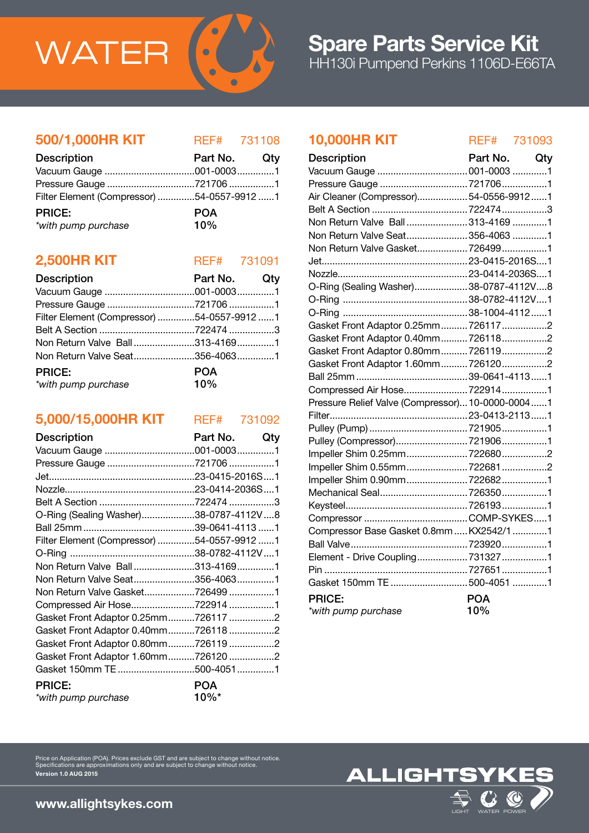

#### 500/1,000HR KIT REF# 731108

| <b>Description</b>                         | Part No. Qty |  |
|--------------------------------------------|--------------|--|
|                                            |              |  |
|                                            |              |  |
| Filter Element (Compressor) 54-0557-9912 1 |              |  |
| <b>PRICE:</b>                              | <b>POA</b>   |  |
| *with pump purchase                        | 10%          |  |

### **2,500HR KIT** REF# 731091

| <b>Description</b>                         | Part No. Qty |  |
|--------------------------------------------|--------------|--|
|                                            |              |  |
|                                            |              |  |
| Filter Element (Compressor) 54-0557-9912 1 |              |  |
|                                            |              |  |
| Non Return Valve Ball313-41691             |              |  |
| Non Return Valve Seat356-40631             |              |  |
| <b>PRICE:</b>                              | <b>POA</b>   |  |
| *with pump purchase                        | 10%          |  |

## 5,000/15,000HR KIT REF# 731092

| <b>Description</b>                         | Part No.<br>Qty |  |
|--------------------------------------------|-----------------|--|
|                                            |                 |  |
| Pressure Gauge 721706 1                    |                 |  |
|                                            |                 |  |
|                                            |                 |  |
|                                            |                 |  |
| O-Ring (Sealing Washer)38-0787-4112V8      |                 |  |
|                                            |                 |  |
| Filter Element (Compressor) 54-0557-9912 1 |                 |  |
|                                            |                 |  |
| Non Return Valve Ball313-41691             |                 |  |
| Non Return Valve Seat356-40631             |                 |  |
| Non Return Valve Gasket7264991             |                 |  |
| Compressed Air Hose7229141                 |                 |  |
| Gasket Front Adaptor 0.25mm7261172         |                 |  |
| Gasket Front Adaptor 0.40mm7261182         |                 |  |
| Gasket Front Adaptor 0.80mm7261192         |                 |  |
| Gasket Front Adaptor 1.60mm7261202         |                 |  |
| Gasket 150mm TE 500-40511                  |                 |  |
| <b>PRICE:</b>                              | POA             |  |
| *with pump purchase                        | 10%*            |  |

Price on Application (POA). Prices exclude GST and are subject to change without notice. Specifications are approximations only and are subject to change without notice.

## 10,000HR KIT REF# 731093

| <b>Description</b>                               | Part No. Qty |  |
|--------------------------------------------------|--------------|--|
|                                                  |              |  |
| Pressure Gauge 721706 1                          |              |  |
| Air Cleaner (Compressor)54-0556-99121            |              |  |
|                                                  |              |  |
| Non Return Valve Ball313-41691                   |              |  |
| Non Return Valve Seat 356-4063 1                 |              |  |
| Non Return Valve Gasket7264991                   |              |  |
|                                                  |              |  |
|                                                  |              |  |
| O-Ring (Sealing Washer)38-0787-4112V8            |              |  |
|                                                  |              |  |
|                                                  |              |  |
| Gasket Front Adaptor 0.25mm 7261172              |              |  |
| Gasket Front Adaptor 0.40mm 7261182              |              |  |
| Gasket Front Adaptor 0.80mm7261192               |              |  |
| Gasket Front Adaptor 1.60mm 7261202              |              |  |
|                                                  |              |  |
| Compressed Air Hose 7229141                      |              |  |
| Pressure Relief Valve (Compressor) 10-0000-00041 |              |  |
|                                                  |              |  |
|                                                  |              |  |
| Pulley (Compressor) 7219061                      |              |  |
| Impeller Shim 0.25mm 7226802                     |              |  |
| Impeller Shim 0.55mm7226812                      |              |  |
|                                                  |              |  |
|                                                  |              |  |
|                                                  |              |  |
|                                                  |              |  |
| Compressor Base Gasket 0.8mm  KX2542/1 1         |              |  |
|                                                  |              |  |
| Element - Drive Coupling 7313271                 |              |  |
|                                                  |              |  |
| Gasket 150mm TE 500-4051 1                       |              |  |
| <b>PRICE:</b>                                    | <b>POA</b>   |  |
| *with pump purchase                              | 10%          |  |



www.allightsykes.com

Version 1.0 AUG 2015